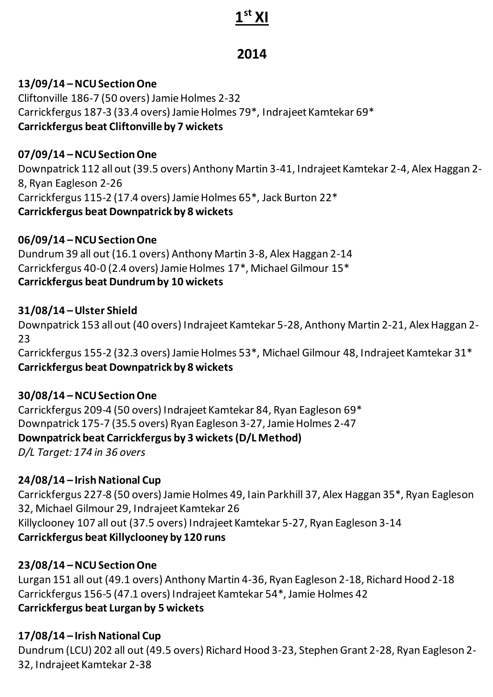# **1 st XI**

# **2014**

**13/09/14 –NCU Section One** Cliftonville 186-7 (50 overs) Jamie Holmes 2-32 Carrickfergus 187-3 (33.4 overs) Jamie Holmes 79\*, Indrajeet Kamtekar 69\* **Carrickfergus beat Cliftonville by 7 wickets**

# **07/09/14 –NCU Section One**

Downpatrick 112 all out (39.5 overs) Anthony Martin 3-41, Indrajeet Kamtekar 2-4, Alex Haggan 2- 8, Ryan Eagleson 2-26 Carrickfergus 115-2 (17.4 overs) Jamie Holmes 65\*, Jack Burton 22\* **Carrickfergus beat Downpatrick by 8 wickets** 

#### **06/09/14 –NCU Section One**

Dundrum 39 all out (16.1 overs) Anthony Martin 3-8, Alex Haggan 2-14 Carrickfergus 40-0 (2.4 overs) Jamie Holmes 17\*, Michael Gilmour 15\* **Carrickfergus beat Dundrum by 10 wickets** 

#### **31/08/14 –Ulster Shield**

Downpatrick 153 all out (40 overs) Indrajeet Kamtekar 5-28, Anthony Martin 2-21, Alex Haggan 2- 23

Carrickfergus 155-2 (32.3 overs) Jamie Holmes 53\*, Michael Gilmour 48, Indrajeet Kamtekar 31\* **Carrickfergus beat Downpatrick by 8 wickets**

#### **30/08/14 –NCU Section One**

Carrickfergus 209-4 (50 overs) Indrajeet Kamtekar 84, Ryan Eagleson 69\* Downpatrick 175-7 (35.5 overs) Ryan Eagleson 3-27, Jamie Holmes 2-47 **Downpatrick beat Carrickfergus by 3 wickets (D/L Method)** *D/L Target: 174 in 36 overs*

# **24/08/14 – Irish National Cup**

Carrickfergus 227-8 (50 overs) Jamie Holmes 49, Iain Parkhill 37, Alex Haggan 35\*, Ryan Eagleson 32, Michael Gilmour 29, Indrajeet Kamtekar 26 Killyclooney 107 all out (37.5 overs) Indrajeet Kamtekar 5-27, Ryan Eagleson 3-14 **Carrickfergus beat Killyclooney by 120 runs** 

# **23/08/14 –NCU Section One**

Lurgan 151 all out (49.1 overs) Anthony Martin 4-36, Ryan Eagleson 2-18, Richard Hood 2-18 Carrickfergus 156-5 (47.1 overs) Indrajeet Kamtekar 54\*, Jamie Holmes 42 **Carrickfergus beat Lurgan by 5 wickets**

# **17/08/14 – Irish National Cup**

Dundrum (LCU) 202 all out (49.5 overs) Richard Hood 3-23, Stephen Grant 2-28, Ryan Eagleson 2- 32, Indrajeet Kamtekar 2-38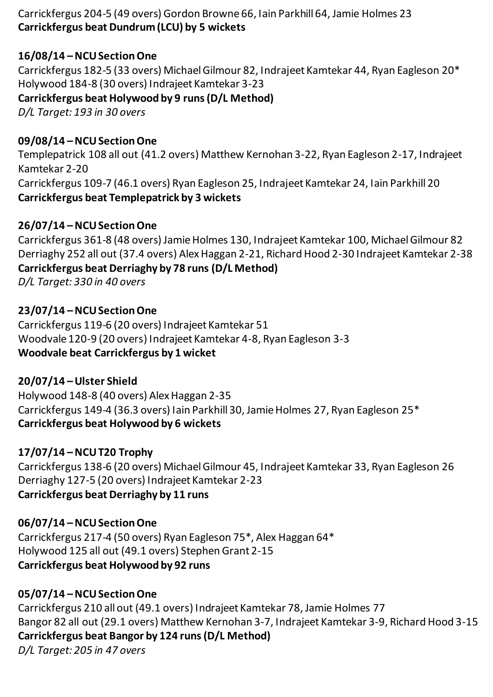Carrickfergus 204-5 (49 overs) Gordon Browne 66, Iain Parkhill 64, Jamie Holmes 23 **Carrickfergus beat Dundrum (LCU) by 5 wickets** 

# **16/08/14 –NCU Section One**

Carrickfergus 182-5 (33 overs) Michael Gilmour 82, Indrajeet Kamtekar 44, Ryan Eagleson 20\* Holywood 184-8 (30 overs) Indrajeet Kamtekar 3-23 **Carrickfergus beat Holywood by 9 runs (D/L Method)** *D/L Target: 193 in 30 overs*

#### **09/08/14 –NCU Section One**

Templepatrick 108 all out (41.2 overs) Matthew Kernohan 3-22, Ryan Eagleson 2-17, Indrajeet Kamtekar 2-20 Carrickfergus 109-7 (46.1 overs) Ryan Eagleson 25, Indrajeet Kamtekar 24, Iain Parkhill 20 **Carrickfergus beat Templepatrick by 3 wickets**

#### **26/07/14 –NCU Section One**

Carrickfergus 361-8 (48 overs) Jamie Holmes 130, Indrajeet Kamtekar 100, Michael Gilmour 82 Derriaghy 252 all out (37.4 overs) Alex Haggan 2-21, Richard Hood 2-30 Indrajeet Kamtekar 2-38 **Carrickfergus beat Derriaghy by 78 runs (D/L Method)** *D/L Target: 330 in 40 overs*

#### **23/07/14 –NCU Section One**

Carrickfergus 119-6 (20 overs) Indrajeet Kamtekar 51 Woodvale 120-9 (20 overs) Indrajeet Kamtekar 4-8, Ryan Eagleson 3-3 **Woodvale beat Carrickfergus by 1 wicket**

#### **20/07/14 –Ulster Shield**

Holywood 148-8 (40 overs) Alex Haggan 2-35 Carrickfergus 149-4 (36.3 overs) Iain Parkhill 30, Jamie Holmes 27, Ryan Eagleson 25\* **Carrickfergus beat Holywood by 6 wickets**

# **17/07/14 –NCU T20 Trophy**

Carrickfergus 138-6 (20 overs) Michael Gilmour 45, Indrajeet Kamtekar 33, Ryan Eagleson 26 Derriaghy 127-5 (20 overs) Indrajeet Kamtekar 2-23 **Carrickfergus beat Derriaghy by 11 runs**

#### **06/07/14 –NCU Section One**

Carrickfergus 217-4 (50 overs) Ryan Eagleson 75\*, Alex Haggan 64\* Holywood 125 all out (49.1 overs) Stephen Grant 2-15 **Carrickfergus beat Holywood by 92 runs**

# **05/07/14 –NCU Section One**

Carrickfergus 210 all out (49.1 overs) Indrajeet Kamtekar 78, Jamie Holmes 77 Bangor 82 all out (29.1 overs) Matthew Kernohan 3-7, Indrajeet Kamtekar 3-9, Richard Hood 3-15 **Carrickfergus beat Bangor by 124 runs (D/L Method)** *D/L Target: 205 in 47 overs*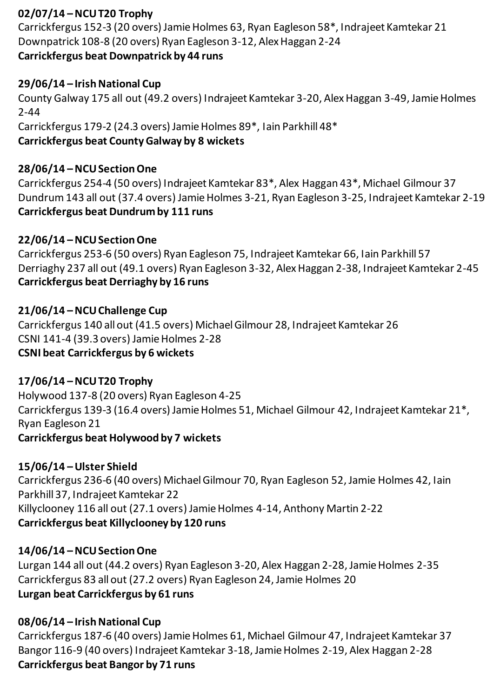# **02/07/14 –NCU T20 Trophy**

Carrickfergus 152-3 (20 overs) Jamie Holmes 63, Ryan Eagleson 58\*, Indrajeet Kamtekar 21 Downpatrick 108-8 (20 overs) Ryan Eagleson 3-12, Alex Haggan 2-24 **Carrickfergus beat Downpatrick by 44 runs**

# **29/06/14 – Irish National Cup**

County Galway 175 all out (49.2 overs) Indrajeet Kamtekar 3-20, Alex Haggan 3-49, Jamie Holmes 2-44

Carrickfergus 179-2 (24.3 overs) Jamie Holmes 89\*, Iain Parkhill 48\* **Carrickfergus beat County Galway by 8 wickets**

#### **28/06/14 –NCU Section One**

Carrickfergus 254-4 (50 overs) Indrajeet Kamtekar 83\*, Alex Haggan 43\*, Michael Gilmour 37 Dundrum 143 all out (37.4 overs) Jamie Holmes 3-21, Ryan Eagleson 3-25, Indrajeet Kamtekar 2-19 **Carrickfergus beat Dundrum by 111 runs**

#### **22/06/14 –NCU Section One**

Carrickfergus 253-6 (50 overs) Ryan Eagleson 75, Indrajeet Kamtekar 66, Iain Parkhill 57 Derriaghy 237 all out (49.1 overs) Ryan Eagleson 3-32, Alex Haggan 2-38, Indrajeet Kamtekar 2-45 **Carrickfergus beat Derriaghy by 16 runs**

#### **21/06/14 –NCU Challenge Cup**

Carrickfergus 140 all out (41.5 overs) Michael Gilmour 28, Indrajeet Kamtekar 26 CSNI 141-4 (39.3 overs) Jamie Holmes 2-28 **CSNI beat Carrickfergus by 6 wickets** 

# **17/06/14 –NCU T20 Trophy**

Holywood 137-8 (20 overs) Ryan Eagleson 4-25 Carrickfergus 139-3 (16.4 overs) Jamie Holmes 51, Michael Gilmour 42, Indrajeet Kamtekar 21\*, Ryan Eagleson 21 **Carrickfergus beat Holywood by 7 wickets**

#### **15/06/14 –Ulster Shield**

Carrickfergus 236-6 (40 overs) Michael Gilmour 70, Ryan Eagleson 52, Jamie Holmes 42, Iain Parkhill 37, Indrajeet Kamtekar 22 Killyclooney 116 all out (27.1 overs) Jamie Holmes 4-14, Anthony Martin 2-22 **Carrickfergus beat Killyclooney by 120 runs**

# **14/06/14 –NCU Section One**

Lurgan 144 all out (44.2 overs) Ryan Eagleson 3-20, Alex Haggan 2-28, Jamie Holmes 2-35 Carrickfergus 83 all out (27.2 overs) Ryan Eagleson 24, Jamie Holmes 20 **Lurgan beat Carrickfergus by 61 runs**

#### **08/06/14 – Irish National Cup**

Carrickfergus 187-6 (40 overs) Jamie Holmes 61, Michael Gilmour 47, Indrajeet Kamtekar 37 Bangor 116-9 (40 overs) Indrajeet Kamtekar 3-18, Jamie Holmes 2-19, Alex Haggan 2-28 **Carrickfergus beat Bangor by 71 runs**